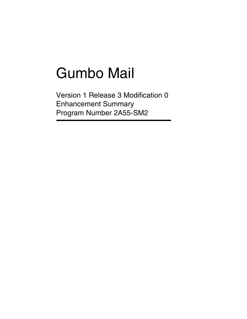# Gumbo Mail

Version 1 Release 3 Modification 0 Enhancement Summary Program Number 2A55-SM2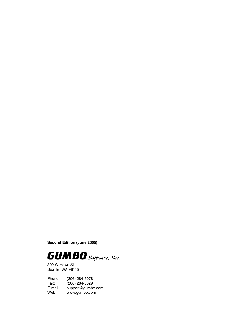**Second Edition (June 2005)**



809 W Howe St Seattle, WA 98119

Phone: (206) 284-5078 Fax: (206) 284-5029<br>E-mail: support@gumb E-mail: support@gumbo.com<br>Web: www.gumbo.com www.gumbo.com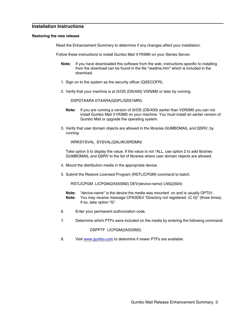## **Installation Instructions**

#### **Restoring the new release**

Read the Enhancement Summary to determine if any changes affect your installation.

Follow these instructions to install Gumbo Mail V1R3M0 on your iSeries Server:

- **Note:** If you have downloaded this software from the web, instructions specific to installing from the download can be found in the file "readme.htm" which is included in the download.
- 1. Sign on to the system as the security officer (QSECOFR).
- 2. Verify that your machine is at i5/OS (OS/400) V5R2M0 or later by running:

DSPDTAARA DTAARA(QGPL/QSS1MRI)

- **Note:** If you are running a version of i5/OS (OS/400) earlier than V5R2M0 you can not install Gumbo Mail V1R3M0 on your machine. You must install an earlier version of Gumbo Mail or upgrade the operating system.
- 3. Verify that user domain objects are allowed in the libraries GUMBOMAIL and QSRV, by running:

WRKSYSVAL SYSVAL(QALWUSRDMN)

Take option 5 to display the value. If the value is not \*ALL, use option 2 to add libraries GUMBOMAIL and QSRV to the list of libraries where user domain objects are allowed.

- 4. Mount the distribution media in the appropriate device.
- 5. Submit the Restore Licensed Program (RSTLICPGM) command to batch:

RSTLICPGM LICPGM(2A55SM2) DEV(device-name) LNG(2924)

- **Note:** "device-name" is the device the media was mounted on and is usually OPT01.
- **Note:** You may receive message CPA3DE4 "Directory not registered. (C G)" (three times). If so, take option "G".
- 6. Enter your permanent authorization code.
- 7. Determine which PTFs were included on the media by entering the following command:

## DSPPTF LICPGM(2A55SM2)

8. Visit www.gumbo.com to determine if newer PTFs are available.